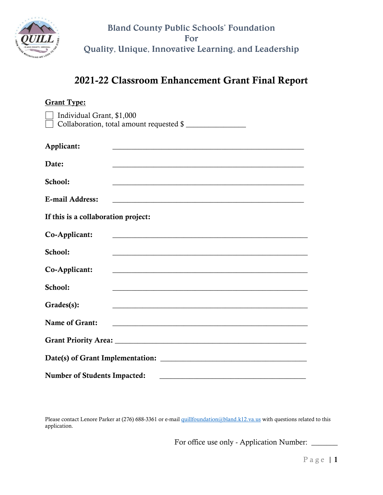

# 2021-22 Classroom Enhancement Grant Final Report

| <b>Grant Type:</b>                                                                                    |                                                                                                                        |  |  |
|-------------------------------------------------------------------------------------------------------|------------------------------------------------------------------------------------------------------------------------|--|--|
| Individual Grant, \$1,000                                                                             | Collaboration, total amount requested \$                                                                               |  |  |
| Applicant:                                                                                            |                                                                                                                        |  |  |
| Date:                                                                                                 | <u> 1989 - Jan James James James James James James James James James James James James James James James James J</u>   |  |  |
| School:                                                                                               |                                                                                                                        |  |  |
| <b>E-mail Address:</b>                                                                                | <u> 1989 - Johann Stoff, Amerikaansk politiker († 1908)</u>                                                            |  |  |
| If this is a collaboration project:                                                                   |                                                                                                                        |  |  |
| Co-Applicant:                                                                                         |                                                                                                                        |  |  |
| School:                                                                                               |                                                                                                                        |  |  |
| Co-Applicant:                                                                                         |                                                                                                                        |  |  |
| School:                                                                                               | and the control of the control of the control of the control of the control of the control of the control of the       |  |  |
| Grades(s):                                                                                            |                                                                                                                        |  |  |
| <b>Name of Grant:</b>                                                                                 | <u> 1989 - Johann Stoff, deutscher Stoffen und der Stoffen und der Stoffen und der Stoffen und der Stoffen und der</u> |  |  |
|                                                                                                       |                                                                                                                        |  |  |
|                                                                                                       |                                                                                                                        |  |  |
| <b>Number of Students Impacted:</b><br><u> 1980 - Johann John Stone, martin de francez (h. 1980).</u> |                                                                                                                        |  |  |

Please contact Lenore Parker at (276) 688-3361 or e-mail [quillfoundation@bland.k12.va.us](mailto:quillfoundation@bland.k12.va.us) with questions related to this application.

For office use only - Application Number: \_\_\_\_\_\_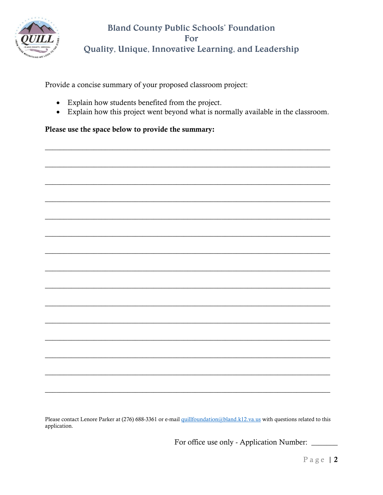

Provide a concise summary of your proposed classroom project:

- Explain how students benefited from the project.
- Explain how this project went beyond what is normally available in the classroom.

#### Please use the space below to provide the summary:

Please contact Lenore Parker at (276) 688-3361 or e-mail quillfoundation@bland.k12.va.us with questions related to this application.

For office use only - Application Number: \_\_\_\_\_\_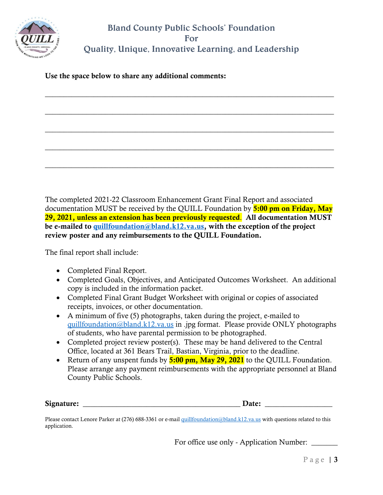

\_\_\_\_\_\_\_\_\_\_\_\_\_\_\_\_\_\_\_\_\_\_\_\_\_\_\_\_\_\_\_\_\_\_\_\_\_\_\_\_\_\_\_\_\_\_\_\_\_\_\_\_\_\_\_\_\_\_\_\_\_\_\_\_\_\_\_\_\_\_\_\_\_\_\_\_\_

\_\_\_\_\_\_\_\_\_\_\_\_\_\_\_\_\_\_\_\_\_\_\_\_\_\_\_\_\_\_\_\_\_\_\_\_\_\_\_\_\_\_\_\_\_\_\_\_\_\_\_\_\_\_\_\_\_\_\_\_\_\_\_\_\_\_\_\_\_\_\_\_\_\_\_\_\_

\_\_\_\_\_\_\_\_\_\_\_\_\_\_\_\_\_\_\_\_\_\_\_\_\_\_\_\_\_\_\_\_\_\_\_\_\_\_\_\_\_\_\_\_\_\_\_\_\_\_\_\_\_\_\_\_\_\_\_\_\_\_\_\_\_\_\_\_\_\_\_\_\_\_\_\_\_

\_\_\_\_\_\_\_\_\_\_\_\_\_\_\_\_\_\_\_\_\_\_\_\_\_\_\_\_\_\_\_\_\_\_\_\_\_\_\_\_\_\_\_\_\_\_\_\_\_\_\_\_\_\_\_\_\_\_\_\_\_\_\_\_\_\_\_\_\_\_\_\_\_\_\_\_\_

\_\_\_\_\_\_\_\_\_\_\_\_\_\_\_\_\_\_\_\_\_\_\_\_\_\_\_\_\_\_\_\_\_\_\_\_\_\_\_\_\_\_\_\_\_\_\_\_\_\_\_\_\_\_\_\_\_\_\_\_\_\_\_\_\_\_\_\_\_\_\_\_\_\_\_\_\_

Use the space below to share any additional comments:

The completed 2021-22 Classroom Enhancement Grant Final Report and associated documentation MUST be received by the QUILL Foundation by  $\frac{5:00 \text{ pm on Friday}}{5:00 \text{ pm on Friday}}$ 29, 2021, unless an extension has been previously requested. All documentation MUST be e-mailed to [quillfoundation@bland.k12.va.us,](mailto:quillfoundation@bland.k12.va.us) with the exception of the project review poster and any reimbursements to the QUILL Foundation.

The final report shall include:

- Completed Final Report.
- Completed Goals, Objectives, and Anticipated Outcomes Worksheet. An additional copy is included in the information packet.
- Completed Final Grant Budget Worksheet with original or copies of associated receipts, invoices, or other documentation.
- A minimum of five (5) photographs, taken during the project, e-mailed to [quillfoundation@bland.k12.va.us](mailto:quillfoundation@bland.k12.va.us) in .jpg format. Please provide ONLY photographs of students, who have parental permission to be photographed.
- Completed project review poster(s). These may be hand delivered to the Central Office, located at 361 Bears Trail, Bastian, Virginia, prior to the deadline.
- Return of any unspent funds by  $5:00 \text{ pm}$ , May 29, 2021 to the QUILL Foundation. Please arrange any payment reimbursements with the appropriate personnel at Bland County Public Schools.

Signature: \_\_\_\_\_\_\_\_\_\_\_\_\_\_\_\_\_\_\_\_\_\_\_\_\_\_\_\_\_\_\_\_\_\_\_\_\_\_\_\_\_\_ Date: \_\_\_\_\_\_\_\_\_\_\_\_\_\_\_\_\_\_

Please contact Lenore Parker at (276) 688-3361 or e-mail [quillfoundation@bland.k12.va.us](mailto:quillfoundation@bland.k12.va.us) with questions related to this application.

For office use only - Application Number: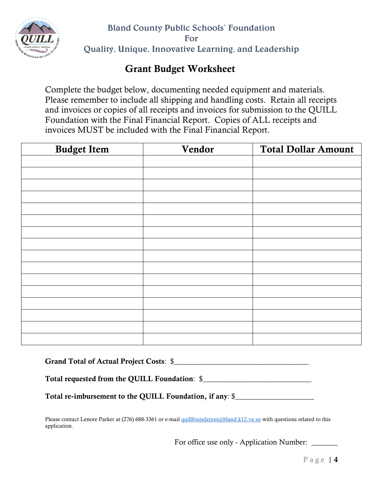

# Grant Budget Worksheet

Complete the budget below, documenting needed equipment and materials. Please remember to include all shipping and handling costs. Retain all receipts and invoices or copies of all receipts and invoices for submission to the QUILL Foundation with the Final Financial Report. Copies of ALL receipts and invoices MUST be included with the Final Financial Report.

| <b>Budget Item</b> | Vendor | <b>Total Dollar Amount</b> |
|--------------------|--------|----------------------------|
|                    |        |                            |
|                    |        |                            |
|                    |        |                            |
|                    |        |                            |
|                    |        |                            |
|                    |        |                            |
|                    |        |                            |
|                    |        |                            |
|                    |        |                            |
|                    |        |                            |
|                    |        |                            |
|                    |        |                            |
|                    |        |                            |
|                    |        |                            |
|                    |        |                            |
|                    |        |                            |

Grand Total of Actual Project Costs: \$

Total requested from the QUILL Foundation: \$

Total re-imbursement to the QUILL Foundation, if any: \$\_\_\_\_\_\_\_\_\_\_\_\_\_\_\_\_\_\_\_\_\_\_\_\_\_

Please contact Lenore Parker at (276) 688-3361 or e-mail [quillfoundation@bland.k12.va.us](mailto:quillfoundation@bland.k12.va.us) with questions related to this application.

For office use only - Application Number: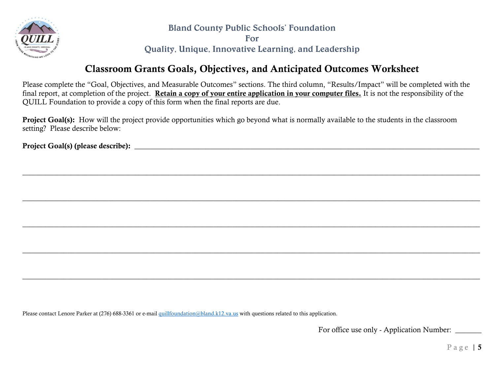

Bland County Public Schools' Foundation

For

Quality, Unique, Innovative Learning, and Leadership

## Classroom Grants Goals, Objectives, and Anticipated Outcomes Worksheet

Please complete the "Goal, Objectives, and Measurable Outcomes" sections. The third column, "Results/Impact" will be completed with the final report, at completion of the project. Retain a copy of your entire application in your computer files. It is not the responsibility of the QUILL Foundation to provide a copy of this form when the final reports are due.

 $\_$  , and the set of the set of the set of the set of the set of the set of the set of the set of the set of the set of the set of the set of the set of the set of the set of the set of the set of the set of the set of th

 $\_$  , and the set of the set of the set of the set of the set of the set of the set of the set of the set of the set of the set of the set of the set of the set of the set of the set of the set of the set of the set of th

 $\Box$  . The contract of the contract of the contract of the contract of the contract of the contract of the contract of the contract of the contract of the contract of the contract of the contract of the contract of the co

 $\Box$  . The contract of the contract of the contract of the contract of the contract of the contract of the contract of the contract of the contract of the contract of the contract of the contract of the contract of the co

 $\_$  , and the set of the set of the set of the set of the set of the set of the set of the set of the set of the set of the set of the set of the set of the set of the set of the set of the set of the set of the set of th

Project Goal(s): How will the project provide opportunities which go beyond what is normally available to the students in the classroom setting? Please describe below:

Project Goal(s) (please describe): \_\_\_\_\_\_\_\_\_\_\_\_\_\_\_\_\_\_\_\_\_\_\_\_\_\_\_\_\_\_\_\_\_\_\_\_\_\_\_\_\_\_\_\_\_\_\_\_\_\_\_\_\_\_\_\_\_\_\_\_\_\_\_\_\_\_\_\_\_\_\_\_\_\_\_\_\_\_\_\_\_\_\_\_\_\_\_\_\_\_\_\_

Please contact Lenore Parker at (276) 688-3361 or e-mail [quillfoundation@bland.k12.va.us](mailto:quillfoundation@bland.k12.va.us) with questions related to this application.

For office use only - Application Number: